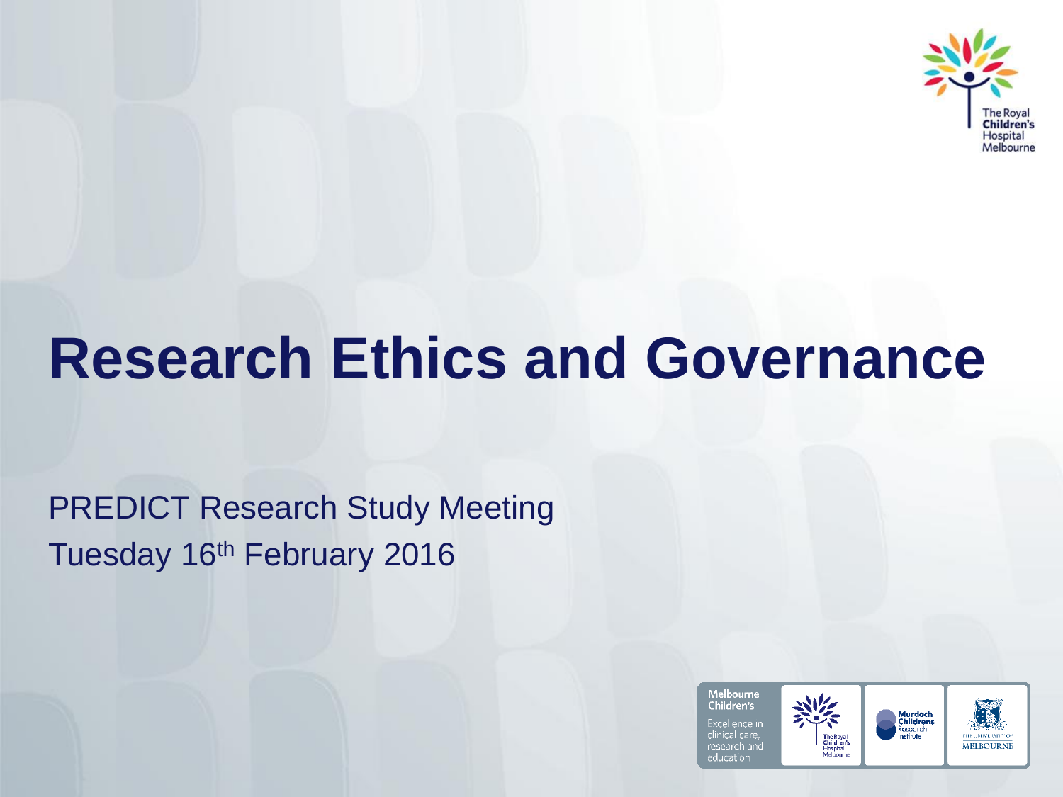

### **Research Ethics and Governance**

PREDICT Research Study Meeting Tuesday 16th February 2016

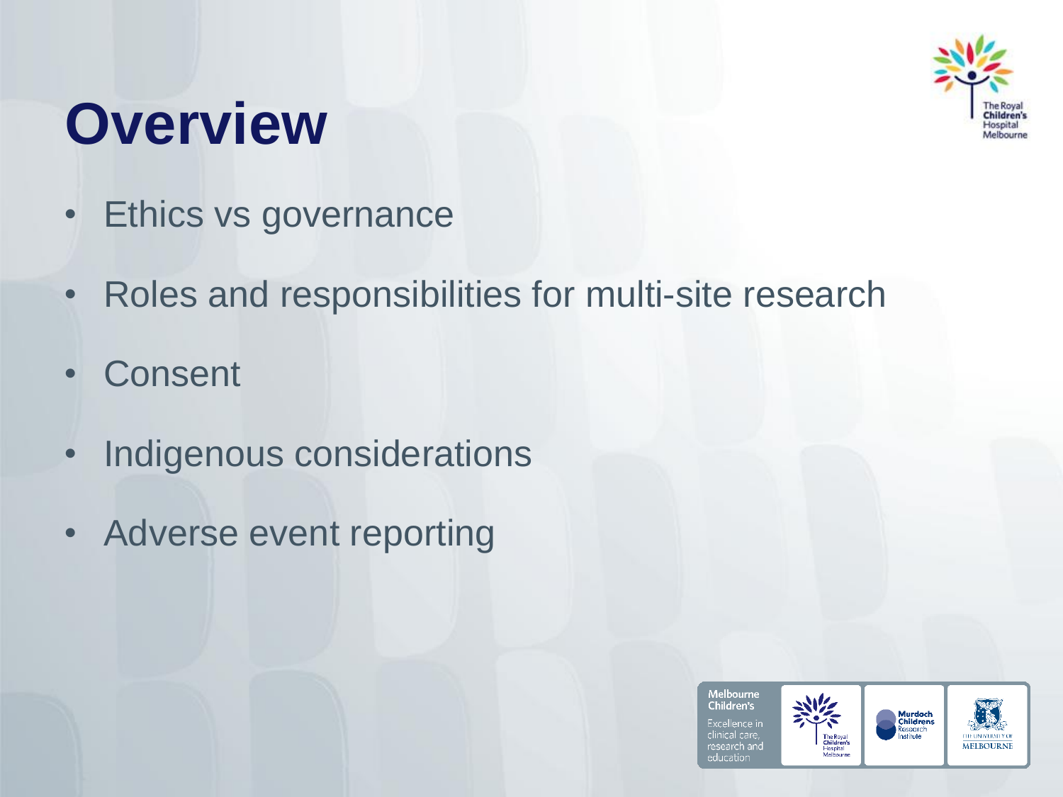

### **Overview**

- Ethics vs governance
- Roles and responsibilities for multi-site research
- Consent
- Indigenous considerations
- Adverse event reporting

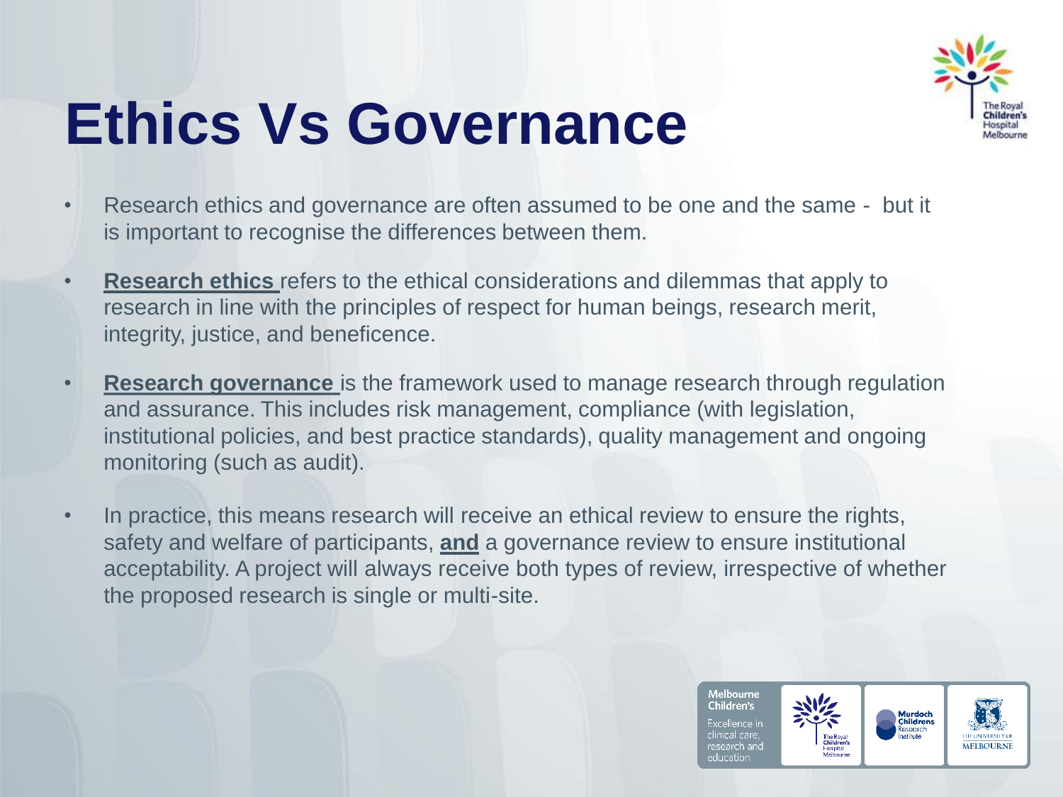

## **Ethics Vs Governance**

- Research ethics and governance are often assumed to be one and the same but it is important to recognise the differences between them.
- **Research ethics** refers to the ethical considerations and dilemmas that apply to research in line with the principles of respect for human beings, research merit, integrity, justice, and beneficence.
- **Research governance** is the framework used to manage research through regulation and assurance. This includes risk management, compliance (with legislation, institutional policies, and best practice standards), quality management and ongoing monitoring (such as audit).
- In practice, this means research will receive an ethical review to ensure the rights, safety and welfare of participants, **and** a governance review to ensure institutional acceptability. A project will always receive both types of review, irrespective of whether the proposed research is single or multi-site.

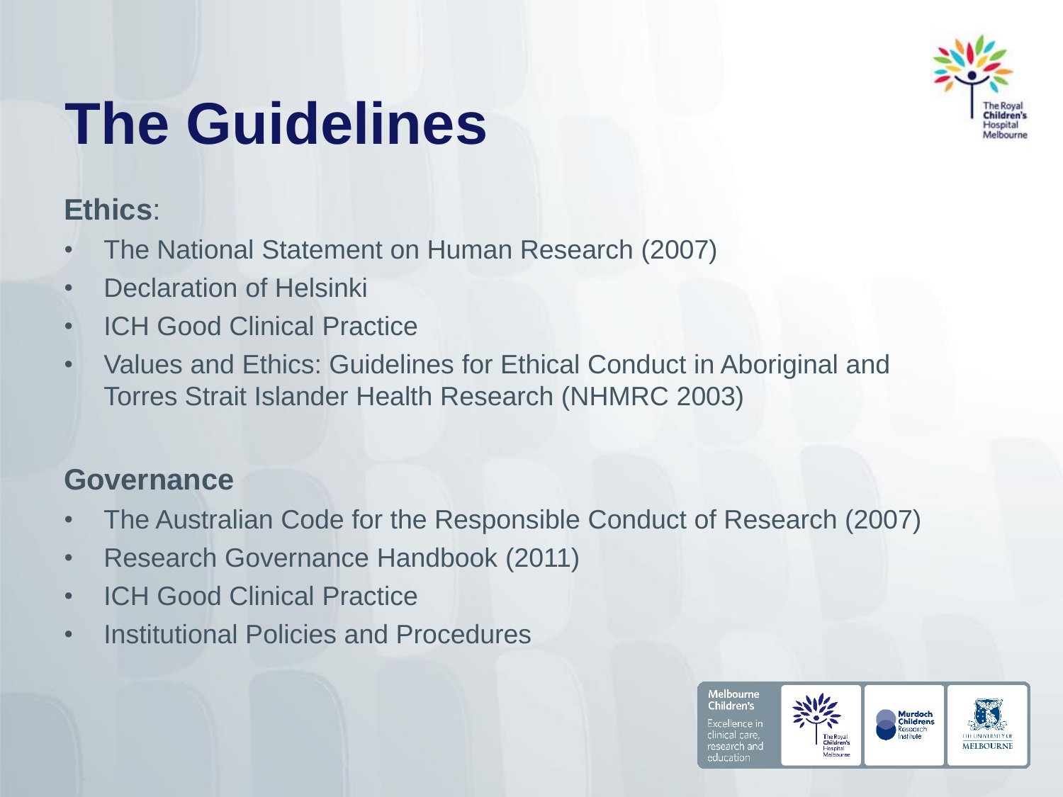

# **The Guidelines**

#### **Ethics**:

- The National Statement on Human Research (2007)
- Declaration of Helsinki
- ICH Good Clinical Practice
- Values and Ethics: Guidelines for Ethical Conduct in Aboriginal and Torres Strait Islander Health Research (NHMRC 2003)

#### **Governance**

- The Australian Code for the Responsible Conduct of Research (2007)
- Research Governance Handbook (2011)
- ICH Good Clinical Practice
- Institutional Policies and Procedures

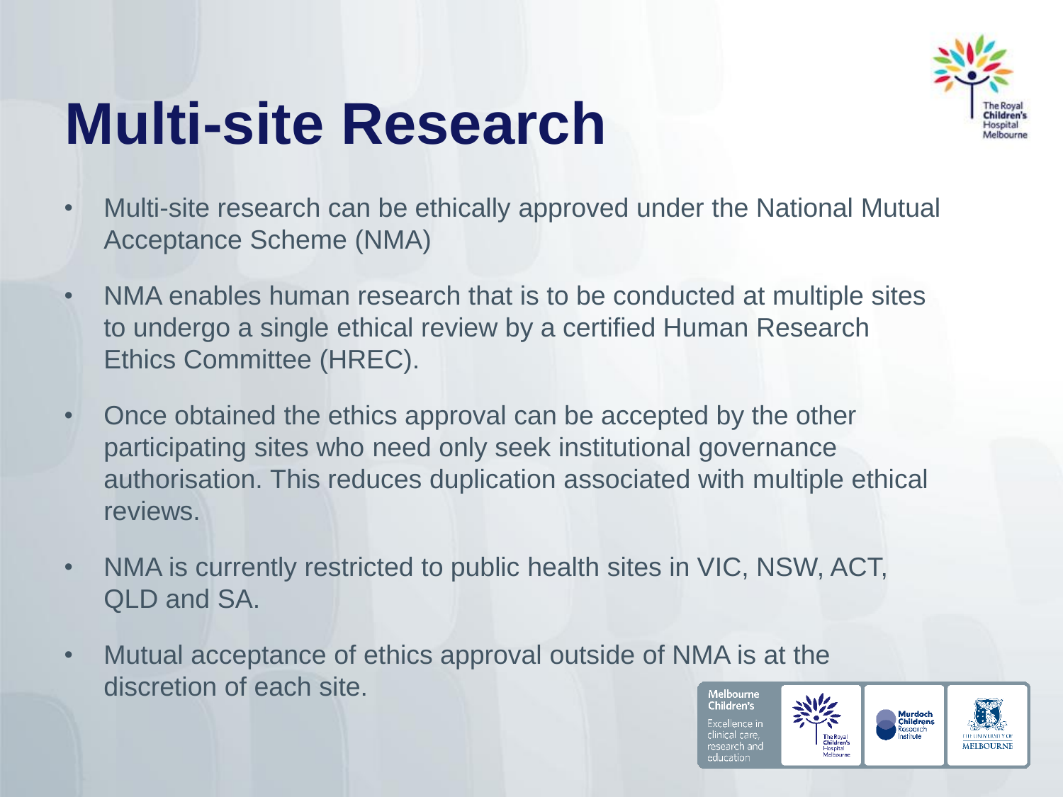

## **Multi-site Research**

- Multi-site research can be ethically approved under the National Mutual Acceptance Scheme (NMA)
- NMA enables human research that is to be conducted at multiple sites to undergo a single ethical review by a certified Human Research Ethics Committee (HREC).
- Once obtained the ethics approval can be accepted by the other participating sites who need only seek institutional governance authorisation. This reduces duplication associated with multiple ethical reviews.
- NMA is currently restricted to public health sites in VIC, NSW, ACT, QLD and SA.
- Mutual acceptance of ethics approval outside of NMA is at the discretion of each site. Melbourne

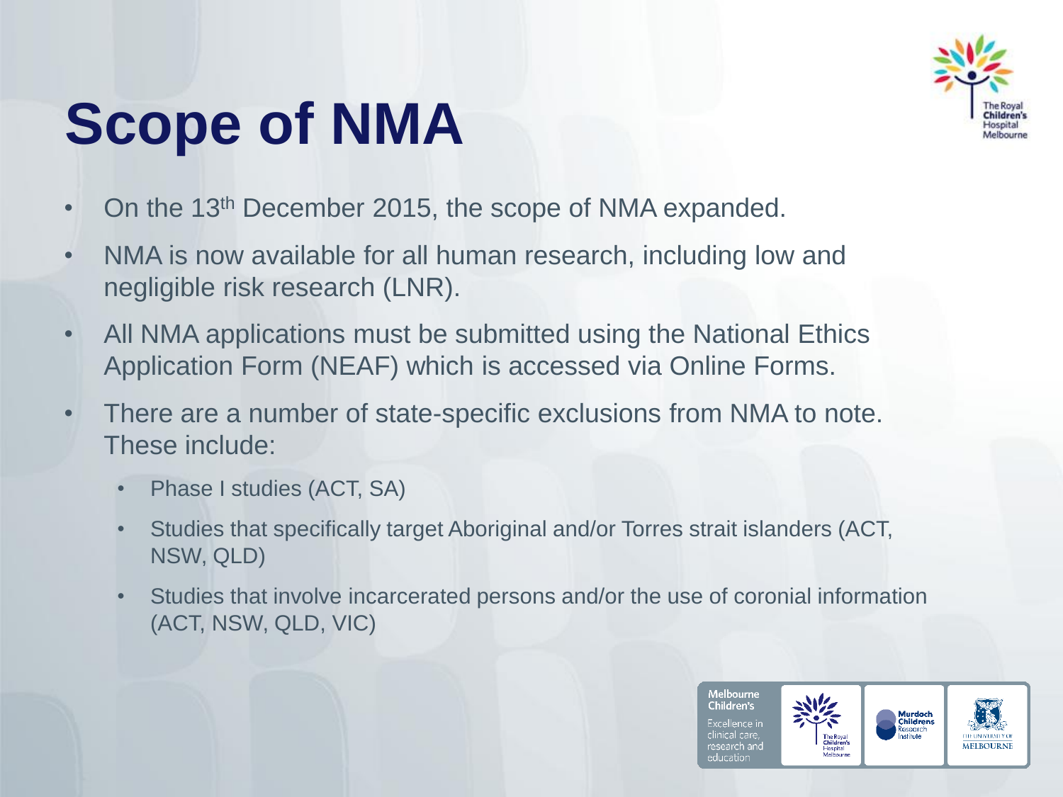

## **Scope of NMA**

- On the 13<sup>th</sup> December 2015, the scope of NMA expanded.
- NMA is now available for all human research, including low and negligible risk research (LNR).
- All NMA applications must be submitted using the National Ethics Application Form (NEAF) which is accessed via Online Forms.
- There are a number of state-specific exclusions from NMA to note. These include:
	- Phase I studies (ACT, SA)
	- Studies that specifically target Aboriginal and/or Torres strait islanders (ACT, NSW, QLD)
	- Studies that involve incarcerated persons and/or the use of coronial information (ACT, NSW, QLD, VIC)

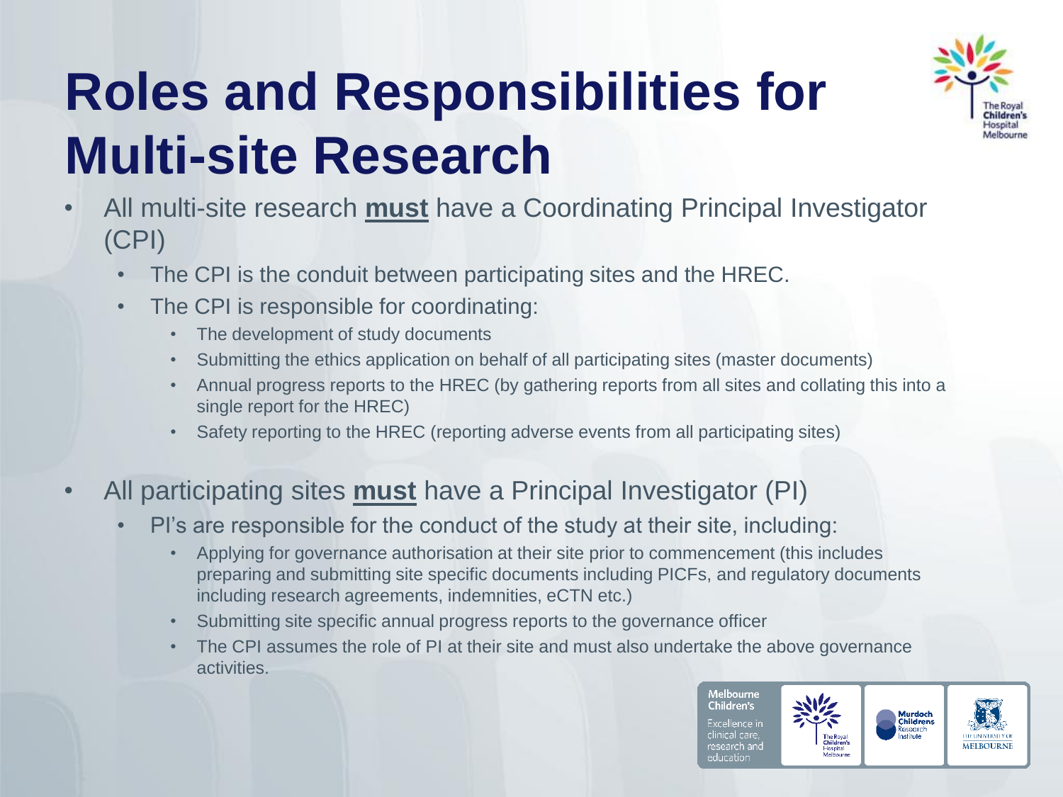## **Roles and Responsibilities for Multi-site Research**



- All multi-site research **must** have a Coordinating Principal Investigator (CPI)
	- The CPI is the conduit between participating sites and the HREC.
	- The CPI is responsible for coordinating:
		- The development of study documents
		- Submitting the ethics application on behalf of all participating sites (master documents)
		- Annual progress reports to the HREC (by gathering reports from all sites and collating this into a single report for the HREC)
		- Safety reporting to the HREC (reporting adverse events from all participating sites)

#### • All participating sites **must** have a Principal Investigator (PI)

- PI's are responsible for the conduct of the study at their site, including:
	- Applying for governance authorisation at their site prior to commencement (this includes preparing and submitting site specific documents including PICFs, and regulatory documents including research agreements, indemnities, eCTN etc.)
	- Submitting site specific annual progress reports to the governance officer
	- The CPI assumes the role of PI at their site and must also undertake the above governance activities.

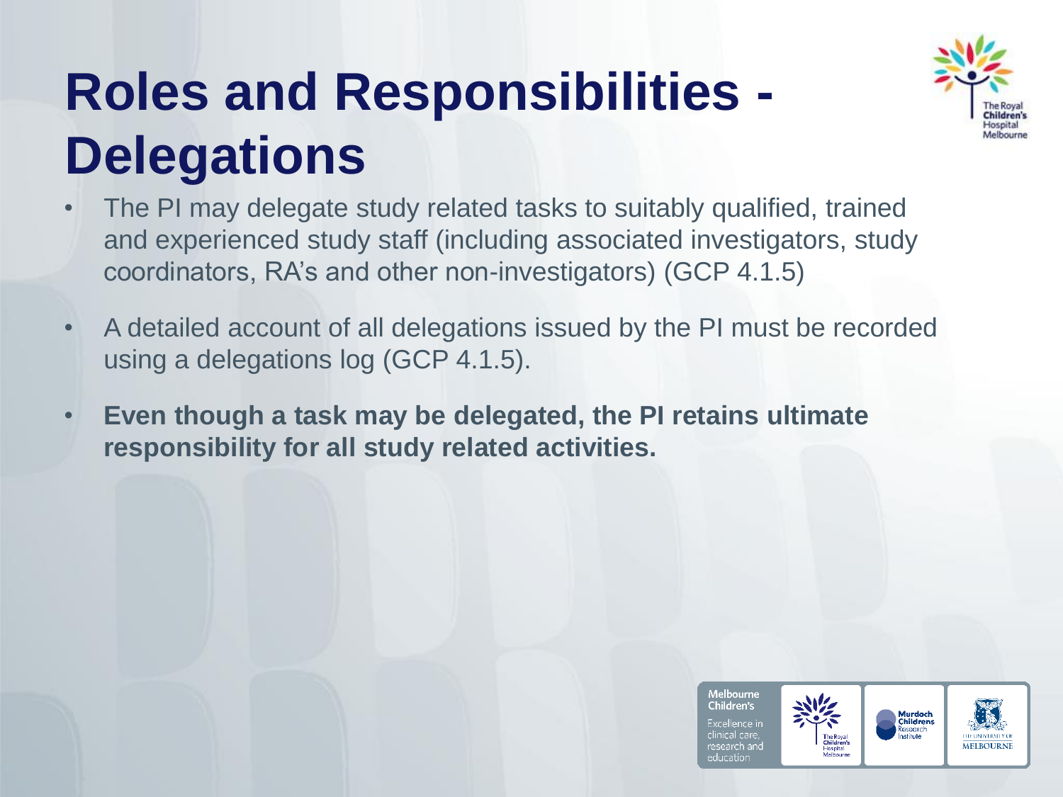## **Roles and Responsibilities - Delegations**



- The PI may delegate study related tasks to suitably qualified, trained and experienced study staff (including associated investigators, study coordinators, RA's and other non-investigators) (GCP 4.1.5)
- A detailed account of all delegations issued by the PI must be recorded using a delegations log (GCP 4.1.5).
- **Even though a task may be delegated, the PI retains ultimate responsibility for all study related activities.**

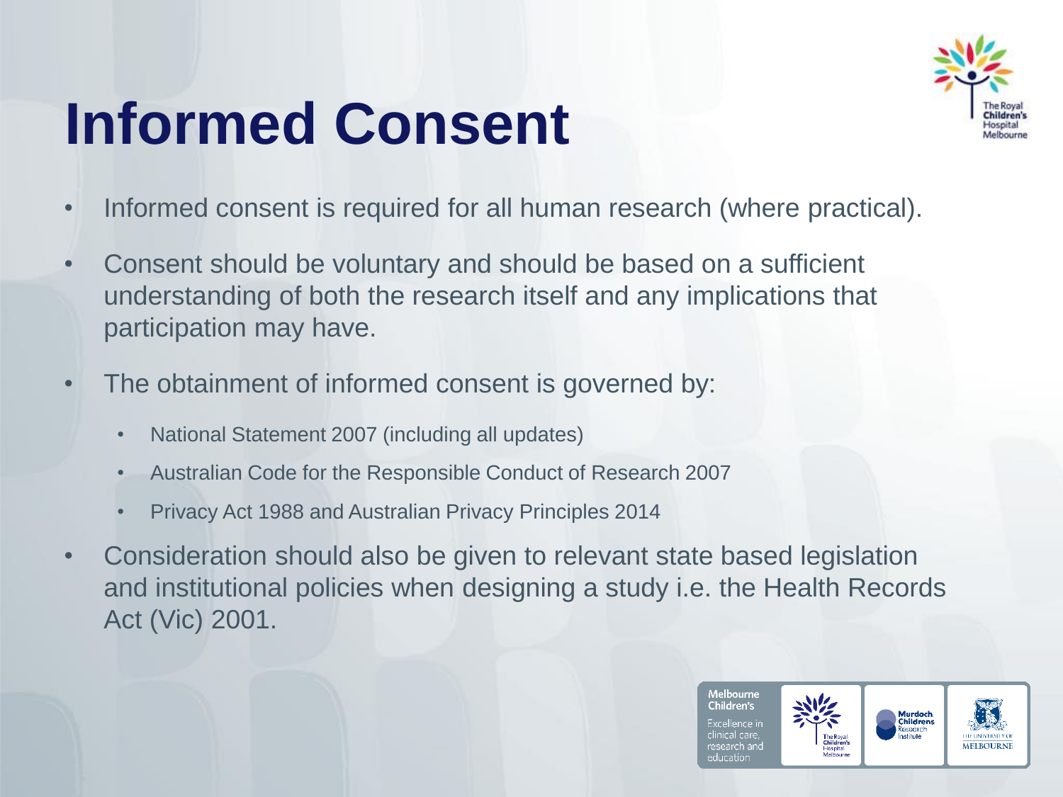## **Informed Consent**



- Informed consent is required for all human research (where practical).
- Consent should be voluntary and should be based on a sufficient understanding of both the research itself and any implications that participation may have.
- The obtainment of informed consent is governed by:
	- National Statement 2007 (including all updates)
	- Australian Code for the Responsible Conduct of Research 2007
	- Privacy Act 1988 and Australian Privacy Principles 2014
- Consideration should also be given to relevant state based legislation and institutional policies when designing a study i.e. the Health Records Act (Vic) 2001.

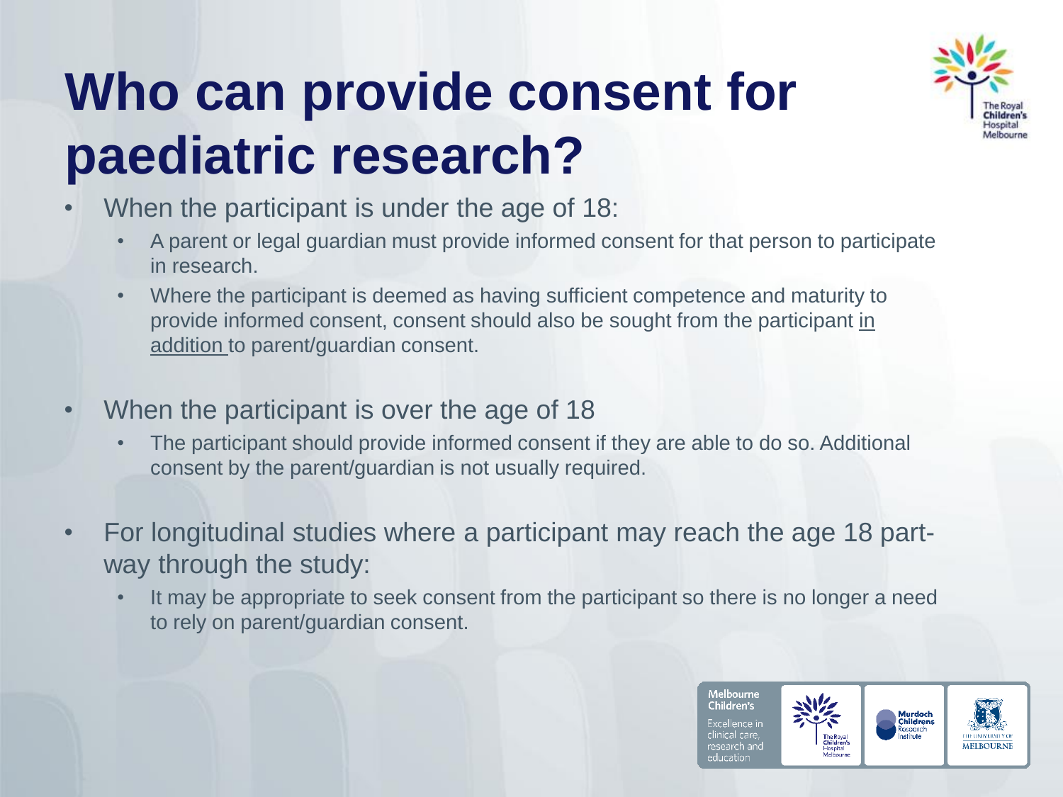## **Who can provide consent for paediatric research?**



- When the participant is under the age of 18:
	- A parent or legal guardian must provide informed consent for that person to participate in research.
	- Where the participant is deemed as having sufficient competence and maturity to provide informed consent, consent should also be sought from the participant in addition to parent/guardian consent.
- When the participant is over the age of 18
	- The participant should provide informed consent if they are able to do so. Additional consent by the parent/guardian is not usually required.
- For longitudinal studies where a participant may reach the age 18 partway through the study:
	- It may be appropriate to seek consent from the participant so there is no longer a need to rely on parent/guardian consent.

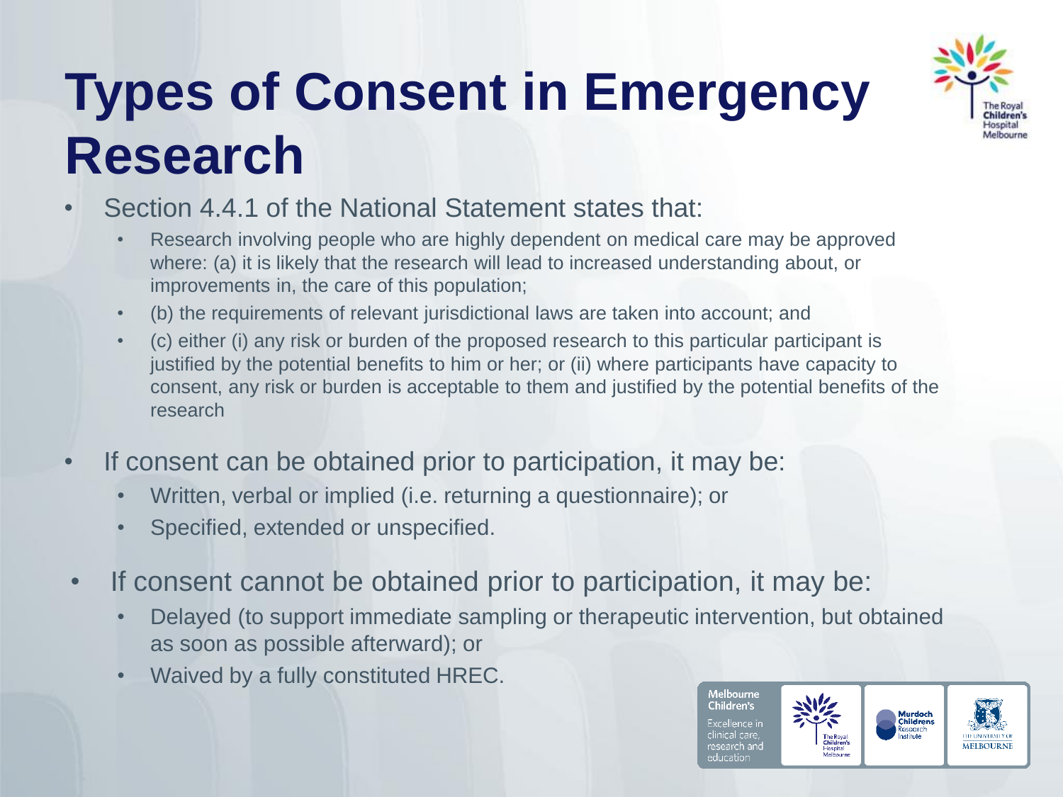### **Types of Consent in Emergency Research**



#### Section 4.4.1 of the National Statement states that:

- Research involving people who are highly dependent on medical care may be approved where: (a) it is likely that the research will lead to increased understanding about, or improvements in, the care of this population;
- (b) the requirements of relevant jurisdictional laws are taken into account; and
- (c) either (i) any risk or burden of the proposed research to this particular participant is justified by the potential benefits to him or her; or (ii) where participants have capacity to consent, any risk or burden is acceptable to them and justified by the potential benefits of the research
- If consent can be obtained prior to participation, it may be:
	- Written, verbal or implied (i.e. returning a questionnaire); or
	- Specified, extended or unspecified.
- If consent cannot be obtained prior to participation, it may be:
	- Delayed (to support immediate sampling or therapeutic intervention, but obtained as soon as possible afterward); or
	- Waived by a fully constituted HREC.

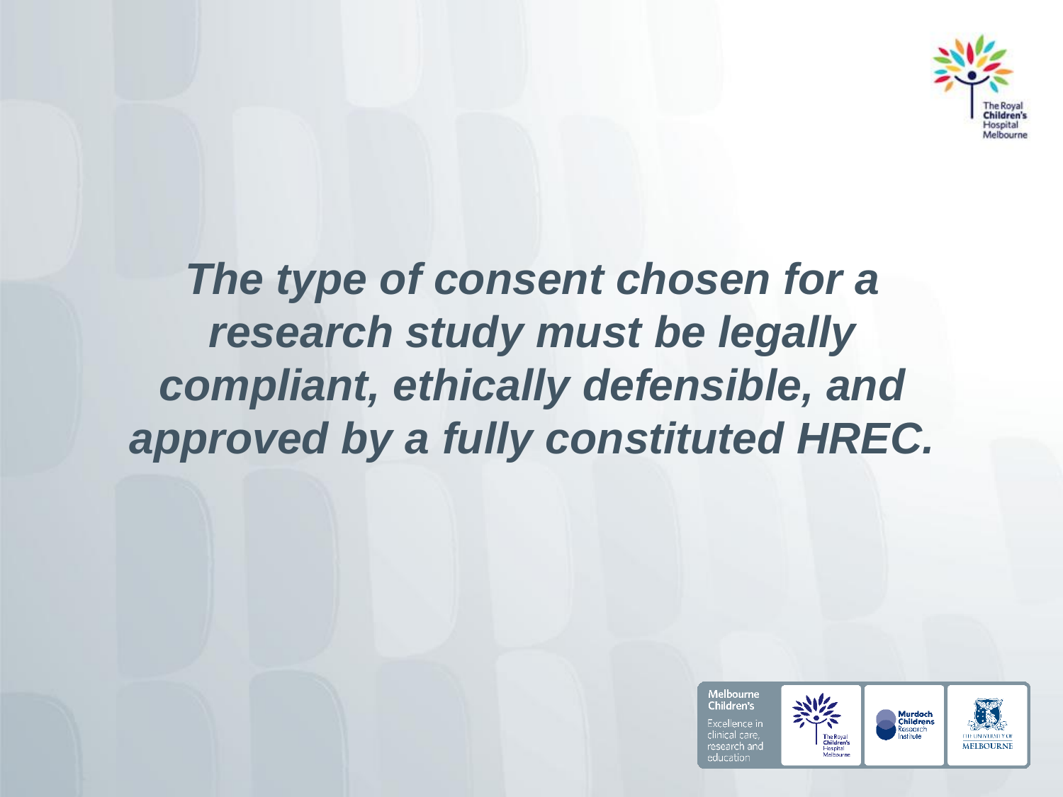

### *The type of consent chosen for a research study must be legally compliant, ethically defensible, and approved by a fully constituted HREC.*

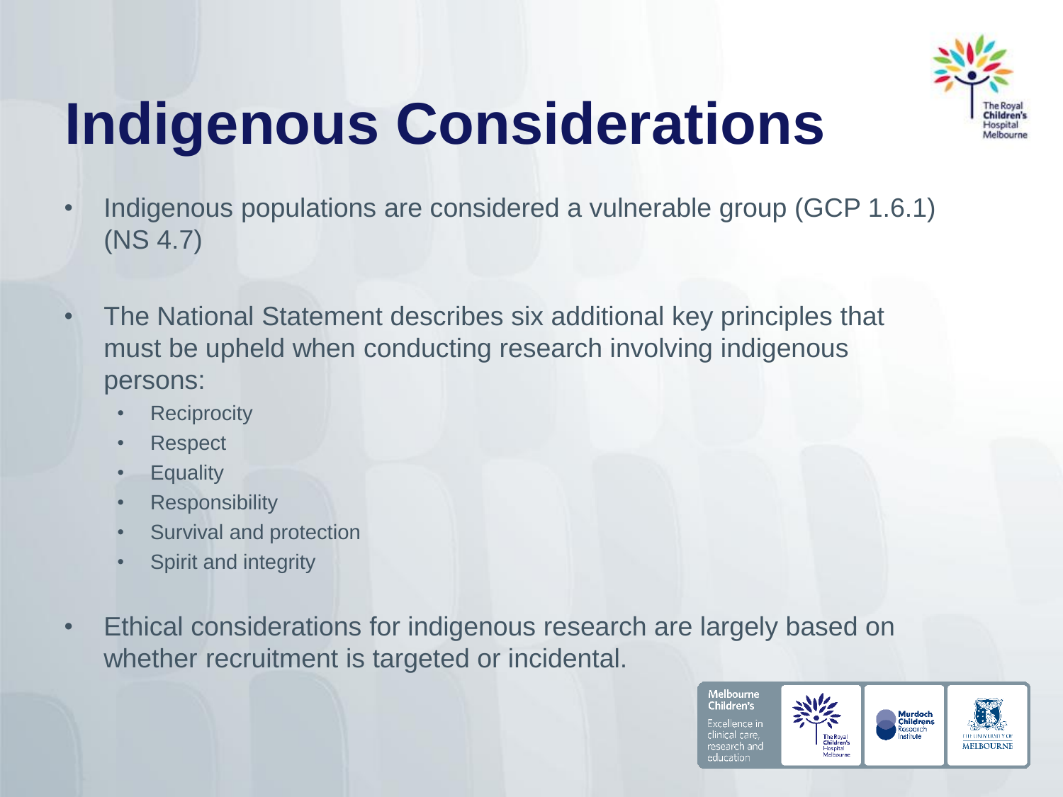

# **Indigenous Considerations**

- Indigenous populations are considered a vulnerable group (GCP 1.6.1) (NS 4.7)
- The National Statement describes six additional key principles that must be upheld when conducting research involving indigenous persons:
	- Reciprocity
	- Respect
	- Equality
	- **Responsibility**
	- Survival and protection
	- Spirit and integrity
- Ethical considerations for indigenous research are largely based on whether recruitment is targeted or incidental.

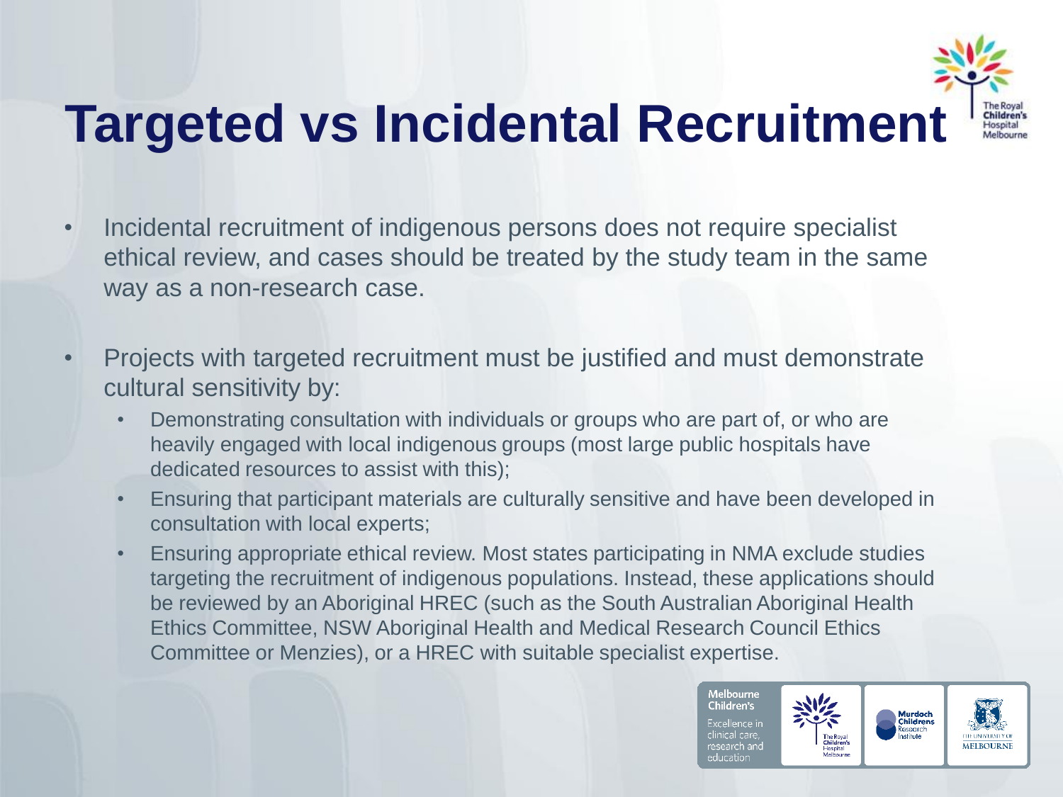

### **Targeted vs Incidental Recruitment**

- Incidental recruitment of indigenous persons does not require specialist ethical review, and cases should be treated by the study team in the same way as a non-research case.
- Projects with targeted recruitment must be justified and must demonstrate cultural sensitivity by:
	- Demonstrating consultation with individuals or groups who are part of, or who are heavily engaged with local indigenous groups (most large public hospitals have dedicated resources to assist with this);
	- Ensuring that participant materials are culturally sensitive and have been developed in consultation with local experts;
	- Ensuring appropriate ethical review. Most states participating in NMA exclude studies targeting the recruitment of indigenous populations. Instead, these applications should be reviewed by an Aboriginal HREC (such as the South Australian Aboriginal Health Ethics Committee, NSW Aboriginal Health and Medical Research Council Ethics Committee or Menzies), or a HREC with suitable specialist expertise.

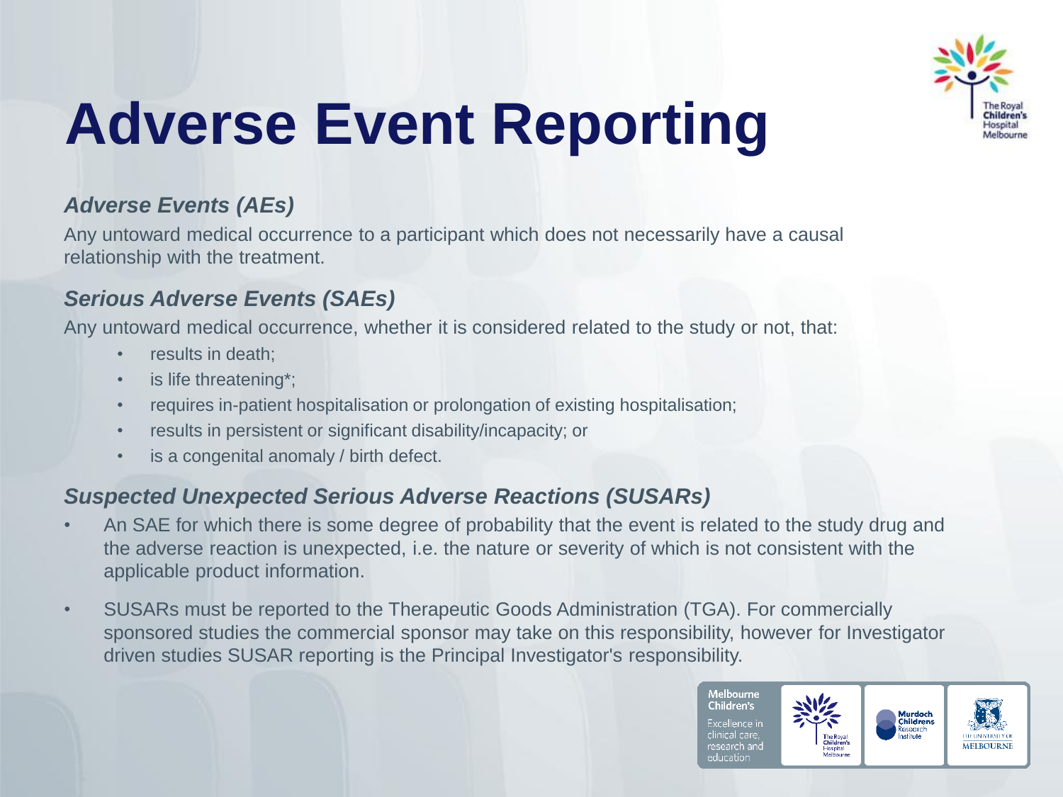

# **Adverse Event Reporting**

#### *Adverse Events (AEs)*

Any untoward medical occurrence to a participant which does not necessarily have a causal relationship with the treatment.

#### *Serious Adverse Events (SAEs)*

Any untoward medical occurrence, whether it is considered related to the study or not, that:

- results in death:
- is life threatening\*:
- requires in-patient hospitalisation or prolongation of existing hospitalisation;
- results in persistent or significant disability/incapacity; or
- is a congenital anomaly / birth defect.

#### *Suspected Unexpected Serious Adverse Reactions (SUSARs)*

- An SAE for which there is some degree of probability that the event is related to the study drug and the adverse reaction is unexpected, i.e. the nature or severity of which is not consistent with the applicable product information.
- SUSARs must be reported to the Therapeutic Goods Administration (TGA). For commercially sponsored studies the commercial sponsor may take on this responsibility, however for Investigator driven studies SUSAR reporting is the Principal Investigator's responsibility.

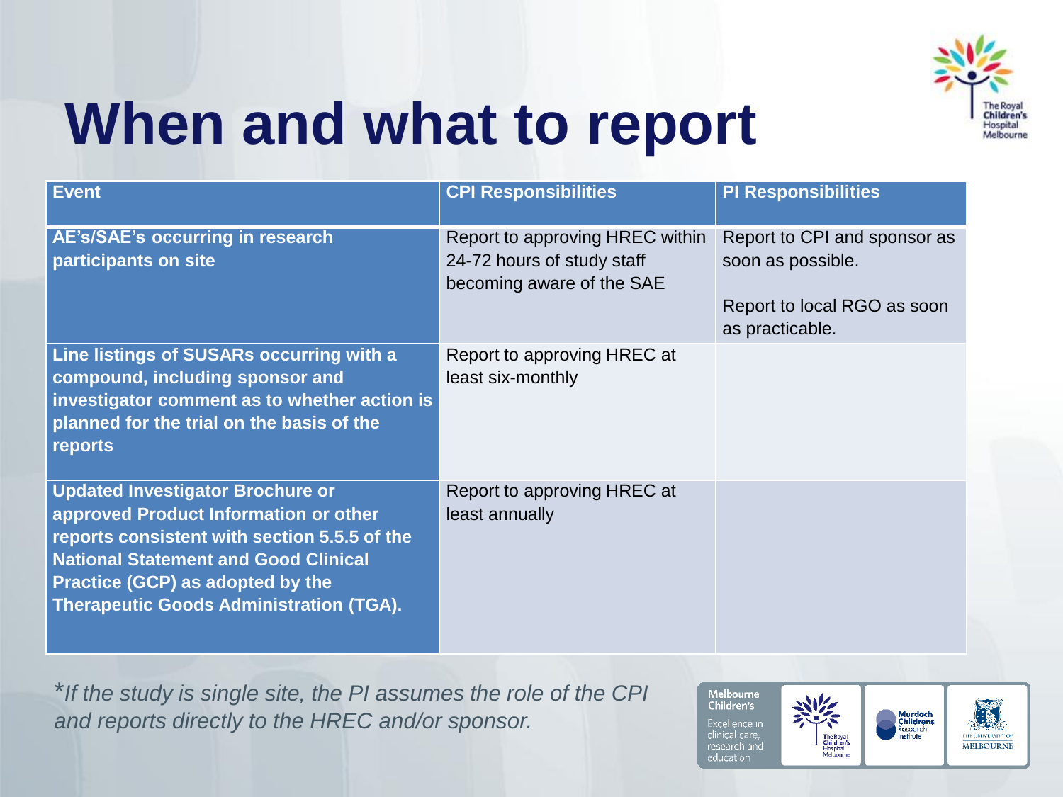

## **When and what to report**

| <b>Event</b>                                                                                                                                                                                                                                                                 | <b>CPI Responsibilities</b>                                                                | <b>PI Responsibilities</b>                                                                          |
|------------------------------------------------------------------------------------------------------------------------------------------------------------------------------------------------------------------------------------------------------------------------------|--------------------------------------------------------------------------------------------|-----------------------------------------------------------------------------------------------------|
| AE's/SAE's occurring in research<br>participants on site                                                                                                                                                                                                                     | Report to approving HREC within<br>24-72 hours of study staff<br>becoming aware of the SAE | Report to CPI and sponsor as<br>soon as possible.<br>Report to local RGO as soon<br>as practicable. |
| Line listings of SUSARs occurring with a<br>compound, including sponsor and<br>investigator comment as to whether action is<br>planned for the trial on the basis of the<br>reports                                                                                          | Report to approving HREC at<br>least six-monthly                                           |                                                                                                     |
| <b>Updated Investigator Brochure or</b><br>approved Product Information or other<br>reports consistent with section 5.5.5 of the<br><b>National Statement and Good Clinical</b><br><b>Practice (GCP) as adopted by the</b><br><b>Therapeutic Goods Administration (TGA).</b> | Report to approving HREC at<br>least annually                                              |                                                                                                     |

\**If the study is single site, the PI assumes the role of the CPI and reports directly to the HREC and/or sponsor.*

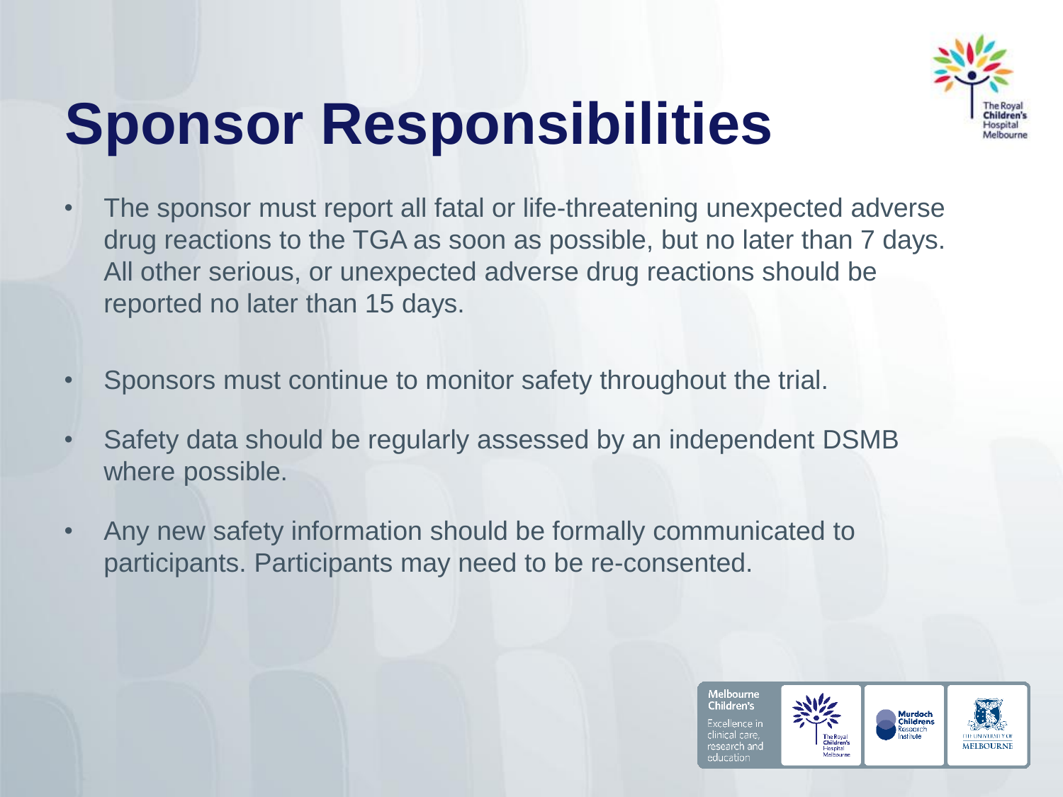

# **Sponsor Responsibilities**

- The sponsor must report all fatal or life-threatening unexpected adverse drug reactions to the TGA as soon as possible, but no later than 7 days. All other serious, or unexpected adverse drug reactions should be reported no later than 15 days.
- Sponsors must continue to monitor safety throughout the trial.
- Safety data should be regularly assessed by an independent DSMB where possible.
- Any new safety information should be formally communicated to participants. Participants may need to be re-consented.

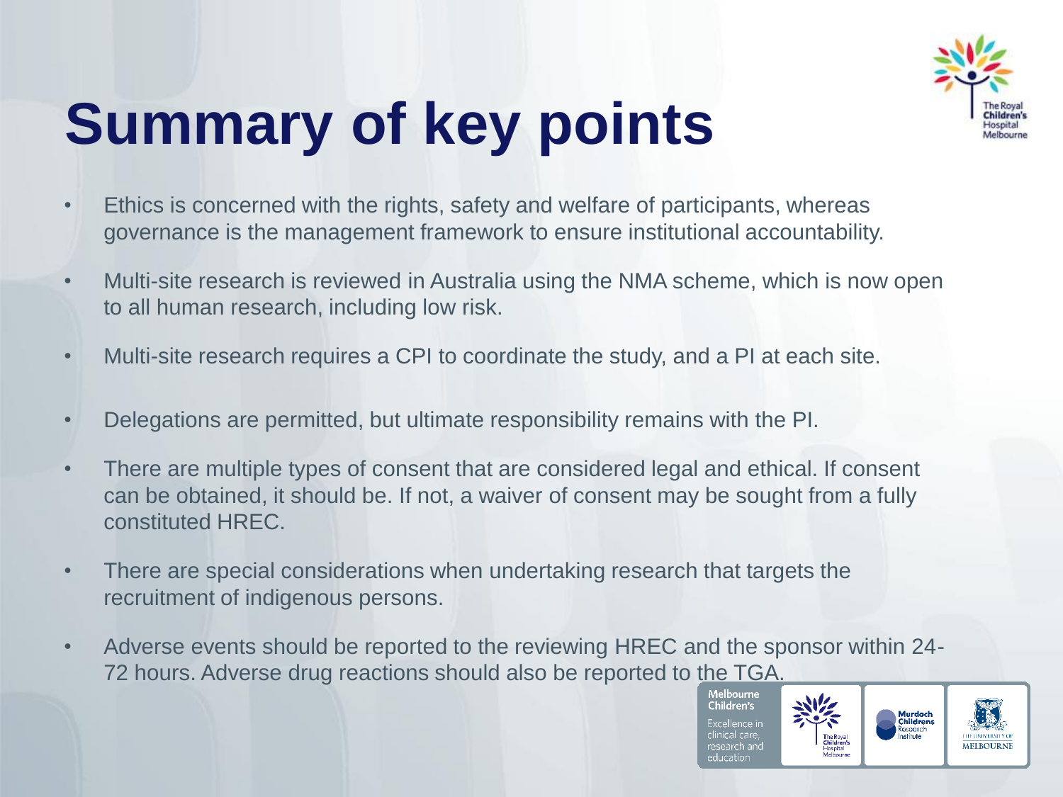

# **Summary of key points**

- Ethics is concerned with the rights, safety and welfare of participants, whereas governance is the management framework to ensure institutional accountability.
- Multi-site research is reviewed in Australia using the NMA scheme, which is now open to all human research, including low risk.
- Multi-site research requires a CPI to coordinate the study, and a PI at each site.
- Delegations are permitted, but ultimate responsibility remains with the PI.
- There are multiple types of consent that are considered legal and ethical. If consent can be obtained, it should be. If not, a waiver of consent may be sought from a fully constituted HREC.
- There are special considerations when undertaking research that targets the recruitment of indigenous persons.
- Adverse events should be reported to the reviewing HREC and the sponsor within 24- 72 hours. Adverse drug reactions should also be reported to the TGA.